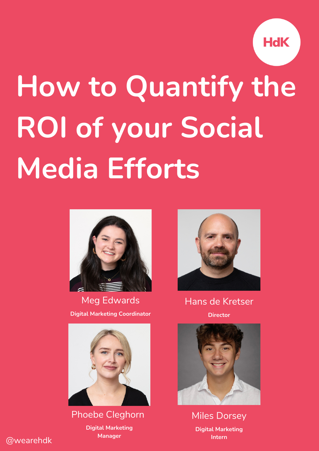

# **How to Quantify the ROI of your Social Media Efforts**



Meg Edwards **Digital Marketing Coordinator**



Phoebe Cleghorn

**Digital Marketing Manager**



Hans de Kretser **Director**



Miles Dorsey **Digital Marketing Intern**

@wearehdk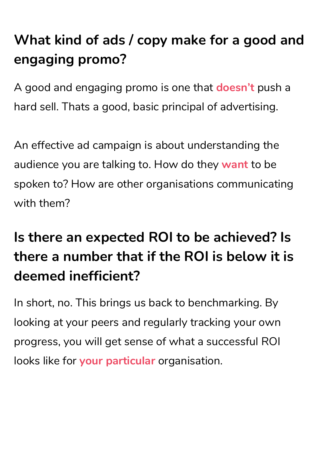## **What kind of ads / copy make for a good and engaging promo?**

A good and engaging promo is one that **doesn't** push a hard sell. Thats a good, basic principal of advertising.

An effective ad campaign is about understanding the audience you are talking to. How do they **want** to be spoken to? How are other organisations communicating with them?

#### **Is there an expected ROI to be achieved? Is there a number that if the ROI is below it is deemed inefficient?**

In short, no. This brings us back to benchmarking. By looking at your peers and regularly tracking your own progress, you will get sense of what a successful ROI looks like for **your particular** organisation.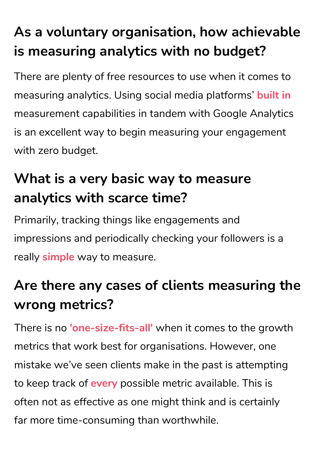## **As a voluntary organisation, how achievable is measuring analytics with no budget?**

There are plenty of free resources to use when it comes to measuring analytics. Using social media platforms' **built in** measurement capabilities in tandem with Google Analytics is an excellent way to begin measuring your engagement with zero budget.

#### **What is a very basic way to measure analytics with scarce time?**

Primarily, tracking things like engagements and impressions and periodically checking your followers is a really **simple** way to measure.

#### **Are there any cases of clients measuring the wrong metrics?**

There is no **'one-size-fits-all'** when it comes to the growth metrics that work best for organisations. However, one mistake we've seen clients make in the past is attempting to keep track of **every** possible metric available. This is often not as effective as one might think and is certainly far more time-consuming than worthwhile.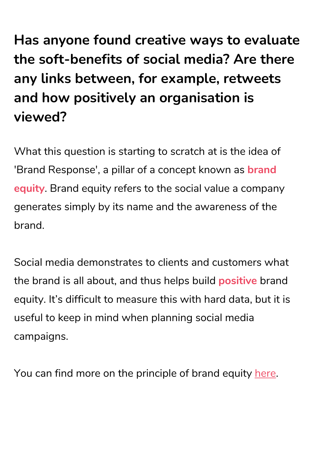**Has anyone found creative ways to evaluate the soft-benefits of social media? Are there any links between, for example, retweets and how positively an organisation is viewed?**

What this question is starting to scratch at is the idea of 'Brand Response', a pillar of a concept known as **brand equity**. Brand equity refers to the social value a company generates simply by its name and the awareness of the brand.

Social media demonstrates to clients and customers what the brand is all about, and thus helps build **positive** brand equity. It's difficult to measure this with hard data, but it is useful to keep in mind when planning social media campaigns.

You can find more on the principle of brand equity [here.](https://www.marketingevolution.com/marketing-essentials/what-is-brand-equity-marketing-evolution)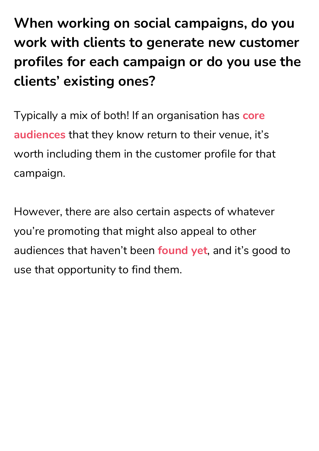**When working on social campaigns, do you work with clients to generate new customer profiles for each campaign or do you use the clients' existing ones?**

Typically a mix of both! If an organisation has **core audiences** that they know return to their venue, it's worth including them in the customer profile for that campaign.

However, there are also certain aspects of whatever you're promoting that might also appeal to other audiences that haven't been **found yet**, and it's good to use that opportunity to find them.